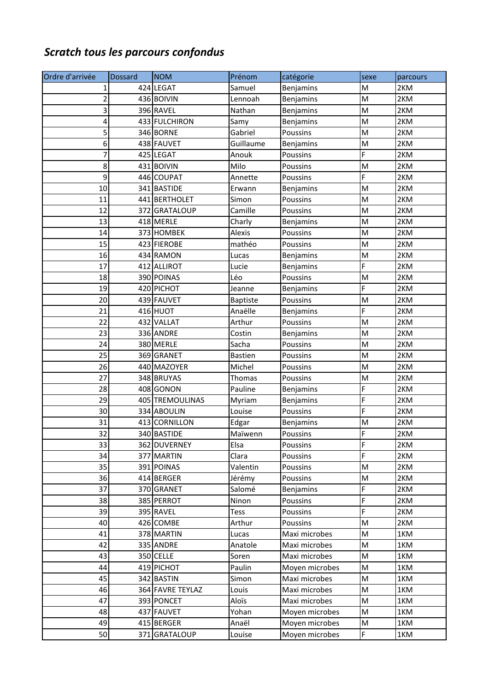## *Scratch tous les parcours confondus*

| Ordre d'arrivée | <b>Dossard</b> | <b>NOM</b>       | Prénom          | catégorie        | sexe                                                                                                       | parcours |
|-----------------|----------------|------------------|-----------------|------------------|------------------------------------------------------------------------------------------------------------|----------|
| 1               |                | 424 LEGAT        | Samuel          | Benjamins        | M                                                                                                          | 2KM      |
| 2               |                | 436 BOIVIN       | Lennoah         | Benjamins        | M                                                                                                          | 2KM      |
| 3               |                | 396 RAVEL        | Nathan          | Benjamins        | $\mathsf{M}% _{T}=\mathsf{M}_{T}\!\left( a,b\right) ,\ \mathsf{M}_{T}=\mathsf{M}_{T}\!\left( a,b\right) ,$ | 2KM      |
| 4               |                | 433 FULCHIRON    | Samy            | Benjamins        | M                                                                                                          | 2KM      |
| 5               |                | 346 BORNE        | Gabriel         | Poussins         | M                                                                                                          | 2KM      |
| 6               |                | 438 FAUVET       | Guillaume       | Benjamins        | ${\sf M}$                                                                                                  | 2KM      |
| 7               |                | 425 LEGAT        | Anouk           | Poussins         | F                                                                                                          | 2KM      |
| 8               |                | 431 BOIVIN       | Milo            | Poussins         | M                                                                                                          | 2KM      |
| 9               |                | 446 COUPAT       | Annette         | Poussins         | Ë                                                                                                          | 2KM      |
| 10              |                | 341 BASTIDE      | Erwann          | Benjamins        | M                                                                                                          | 2KM      |
| 11              |                | 441 BERTHOLET    | Simon           | Poussins         | M                                                                                                          | 2KM      |
| 12              |                | 372 GRATALOUP    | Camille         | Poussins         | $\mathsf{M}% _{T}=\mathsf{M}_{T}\!\left( a,b\right) ,\ \mathsf{M}_{T}=\mathsf{M}_{T}$                      | 2KM      |
| 13              |                | 418 MERLE        | Charly          | <b>Benjamins</b> | M                                                                                                          | 2KM      |
| 14              |                | 373 HOMBEK       | Alexis          | Poussins         | M                                                                                                          | 2KM      |
| 15              |                | 423 FIEROBE      | mathéo          | Poussins         | M                                                                                                          | 2KM      |
| 16              |                | 434 RAMON        | Lucas           | Benjamins        | M                                                                                                          | 2KM      |
| 17              |                | 412 ALLIROT      | Lucie           | Benjamins        | F                                                                                                          | 2KM      |
| 18              |                | 390 POINAS       | Léo             | Poussins         | $\mathsf{M}% _{T}=\mathsf{M}_{T}\!\left( a,b\right) ,\ \mathsf{M}_{T}=\mathsf{M}_{T}$                      | 2KM      |
| 19              |                | 420 PICHOT       | Jeanne          | Benjamins        | F                                                                                                          | 2KM      |
| 20              |                | 439 FAUVET       | <b>Baptiste</b> | Poussins         | M                                                                                                          | 2KM      |
| 21              |                | 416 HUOT         | Anaëlle         | <b>Benjamins</b> | Ë                                                                                                          | 2KM      |
| 22              |                | 432 VALLAT       | Arthur          | Poussins         | $\mathsf{M}% _{T}=\mathsf{M}_{T}\!\left( a,b\right) ,\ \mathsf{M}_{T}=\mathsf{M}_{T}\!\left( a,b\right) ,$ | 2KM      |
| 23              |                | 336 ANDRE        | Costin          | Benjamins        | M                                                                                                          | 2KM      |
| 24              |                | 380 MERLE        | Sacha           | Poussins         | M                                                                                                          | 2KM      |
| 25              |                | 369 GRANET       | <b>Bastien</b>  | Poussins         | M                                                                                                          | 2KM      |
| 26              |                | 440 MAZOYER      | Michel          | Poussins         | M                                                                                                          | 2KM      |
| 27              |                | 348 BRUYAS       | Thomas          | Poussins         | M                                                                                                          | 2KM      |
| 28              |                | 408 GONON        | Pauline         | Benjamins        | F                                                                                                          | 2KM      |
| 29              |                | 405 TREMOULINAS  | Myriam          | Benjamins        | F                                                                                                          | 2KM      |
| 30              |                | 334 ABOULIN      | Louise          | Poussins         | F                                                                                                          | 2KM      |
| 31              |                | 413 CORNILLON    | Edgar           | Benjamins        | M                                                                                                          | 2KM      |
| 32              |                | 340 BASTIDE      | Maïwenn         | Poussins         | F                                                                                                          | 2KM      |
| 33              |                | 362 DUVERNEY     | Elsa            | Poussins         | F                                                                                                          | 2KM      |
| 34              |                | 377 MARTIN       | Clara           | Poussins         | F                                                                                                          | 2KM      |
| 35              |                | 391 POINAS       | Valentin        | Poussins         | M                                                                                                          | 2KM      |
| 36              |                | 414 BERGER       | Jérémy          | Poussins         | M                                                                                                          | 2KM      |
| 37              |                | 370 GRANET       | Salomé          | Benjamins        | F                                                                                                          | 2KM      |
| 38              |                | 385 PERROT       | Ninon           | Poussins         | F                                                                                                          | 2KM      |
| 39              |                | 395 RAVEL        | Tess            | Poussins         | F                                                                                                          | 2KM      |
| 40              |                | 426 COMBE        | Arthur          | Poussins         | M                                                                                                          | 2KM      |
| 41              |                | 378 MARTIN       | Lucas           | Maxi microbes    | M                                                                                                          | 1KM      |
| 42              |                | 335 ANDRE        | Anatole         | Maxi microbes    | M                                                                                                          | 1KM      |
| 43              |                | 350 CELLE        | Soren           | Maxi microbes    | M                                                                                                          | 1KM      |
| 44              |                | 419 PICHOT       | Paulin          | Moyen microbes   | M                                                                                                          | 1KM      |
| 45              |                | 342 BASTIN       | Simon           | Maxi microbes    | M                                                                                                          | 1KM      |
| 46              |                | 364 FAVRE TEYLAZ | Louis           | Maxi microbes    | M                                                                                                          | 1KM      |
| 47              |                | 393 PONCET       | Aloïs           | Maxi microbes    | M                                                                                                          | 1KM      |
| 48              |                | 437 FAUVET       | Yohan           | Moyen microbes   | M                                                                                                          | 1KM      |
| 49              |                | 415 BERGER       | Anaël           | Moyen microbes   | M                                                                                                          | 1KM      |
| 50              |                | 371 GRATALOUP    | Louise          | Moyen microbes   | F                                                                                                          | 1KM      |